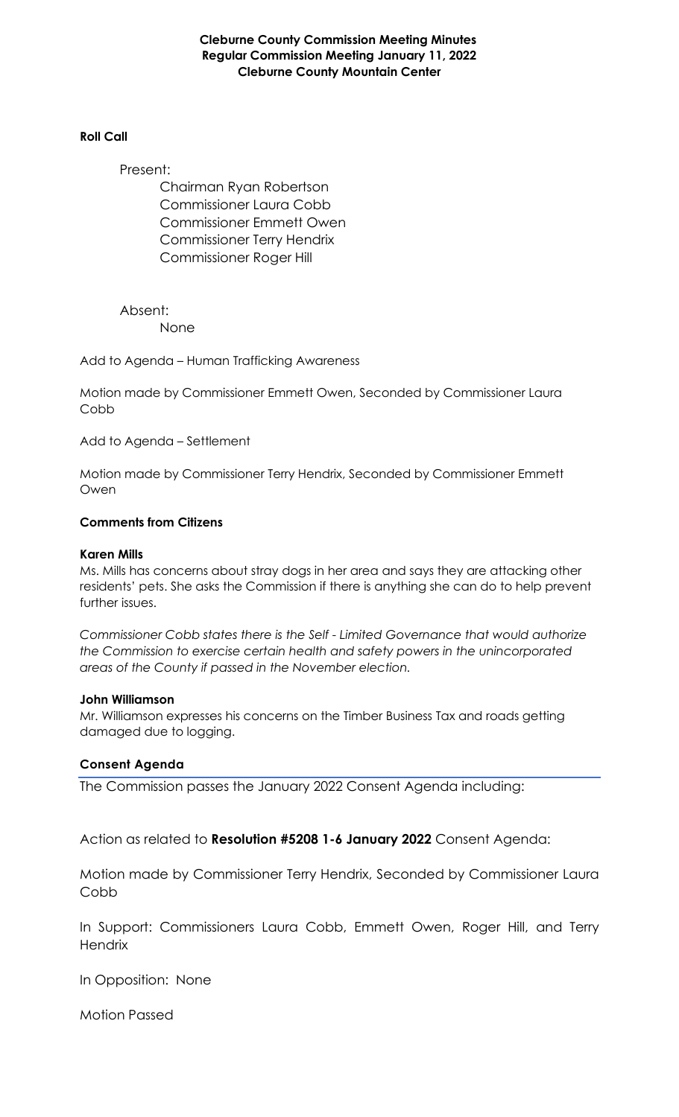**Cleburne County Commission Meeting Minutes Regular Commission Meeting January 11, 2022 Cleburne County Mountain Center**

#### **Roll Call**

Present:

Chairman Ryan Robertson Commissioner Laura Cobb Commissioner Emmett Owen Commissioner Terry Hendrix Commissioner Roger Hill

Absent: None

Add to Agenda – Human Trafficking Awareness

Motion made by Commissioner Emmett Owen, Seconded by Commissioner Laura Cobb

Add to Agenda – Settlement

Motion made by Commissioner Terry Hendrix, Seconded by Commissioner Emmett Owen

#### **Comments from Citizens**

#### **Karen Mills**

Ms. Mills has concerns about stray dogs in her area and says they are attacking other residents' pets. She asks the Commission if there is anything she can do to help prevent further issues.

*Commissioner Cobb states there is the Self - Limited Governance that would authorize the Commission to exercise certain health and safety powers in the unincorporated areas of the County if passed in the November election.*

#### **John Williamson**

Mr. Williamson expresses his concerns on the Timber Business Tax and roads getting damaged due to logging.

#### **Consent Agenda**

The Commission passes the January 2022 Consent Agenda including:

Action as related to **Resolution #5208 1-6 January 2022** Consent Agenda:

Motion made by Commissioner Terry Hendrix, Seconded by Commissioner Laura Cobb

In Support: Commissioners Laura Cobb, Emmett Owen, Roger Hill, and Terry **Hendrix** 

In Opposition: None

Motion Passed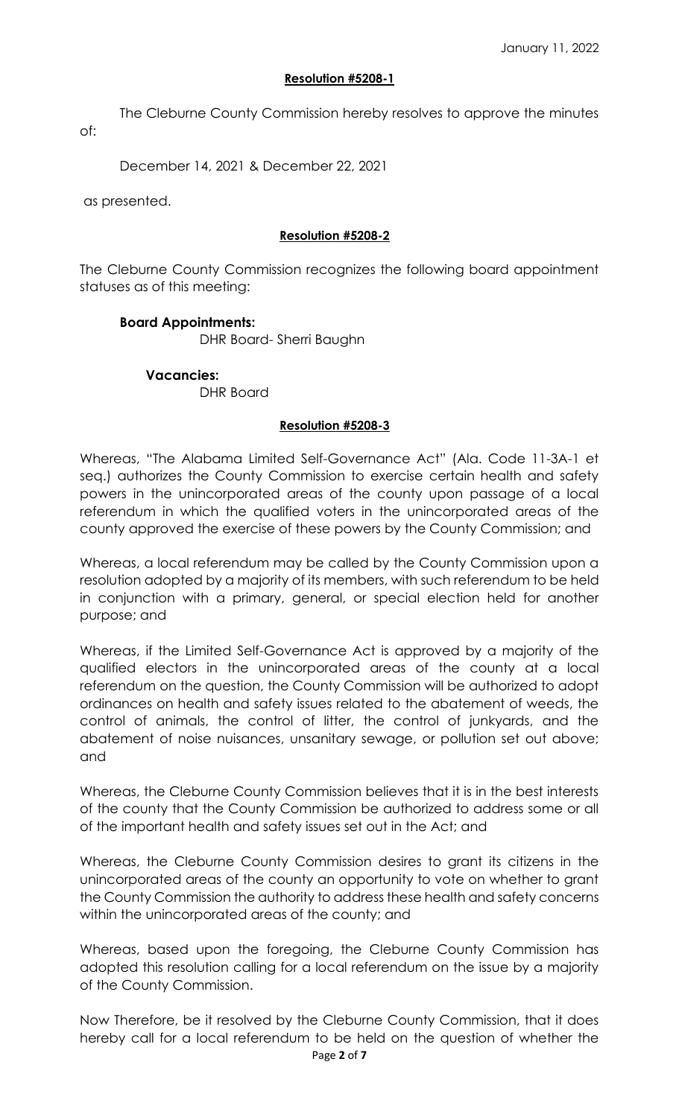### **Resolution #5208-1**

The Cleburne County Commission hereby resolves to approve the minutes of:

December 14, 2021 & December 22, 2021

as presented.

### **Resolution #5208-2**

The Cleburne County Commission recognizes the following board appointment statuses as of this meeting:

### **Board Appointments:**

DHR Board- Sherri Baughn

### **Vacancies:**

DHR Board

### **Resolution #5208-3**

Whereas, "The Alabama Limited Self-Governance Act" (Ala. Code 11-3A-1 et seq.) authorizes the County Commission to exercise certain health and safety powers in the unincorporated areas of the county upon passage of a local referendum in which the qualified voters in the unincorporated areas of the county approved the exercise of these powers by the County Commission; and

Whereas, a local referendum may be called by the County Commission upon a resolution adopted by a majority of its members, with such referendum to be held in conjunction with a primary, general, or special election held for another purpose; and

Whereas, if the Limited Self-Governance Act is approved by a majority of the qualified electors in the unincorporated areas of the county at a local referendum on the question, the County Commission will be authorized to adopt ordinances on health and safety issues related to the abatement of weeds, the control of animals, the control of litter, the control of junkyards, and the abatement of noise nuisances, unsanitary sewage, or pollution set out above; and

Whereas, the Cleburne County Commission believes that it is in the best interests of the county that the County Commission be authorized to address some or all of the important health and safety issues set out in the Act; and

Whereas, the Cleburne County Commission desires to grant its citizens in the unincorporated areas of the county an opportunity to vote on whether to grant the County Commission the authority to address these health and safety concerns within the unincorporated areas of the county; and

Whereas, based upon the foregoing, the Cleburne County Commission has adopted this resolution calling for a local referendum on the issue by a majority of the County Commission.

Now Therefore, be it resolved by the Cleburne County Commission, that it does hereby call for a local referendum to be held on the question of whether the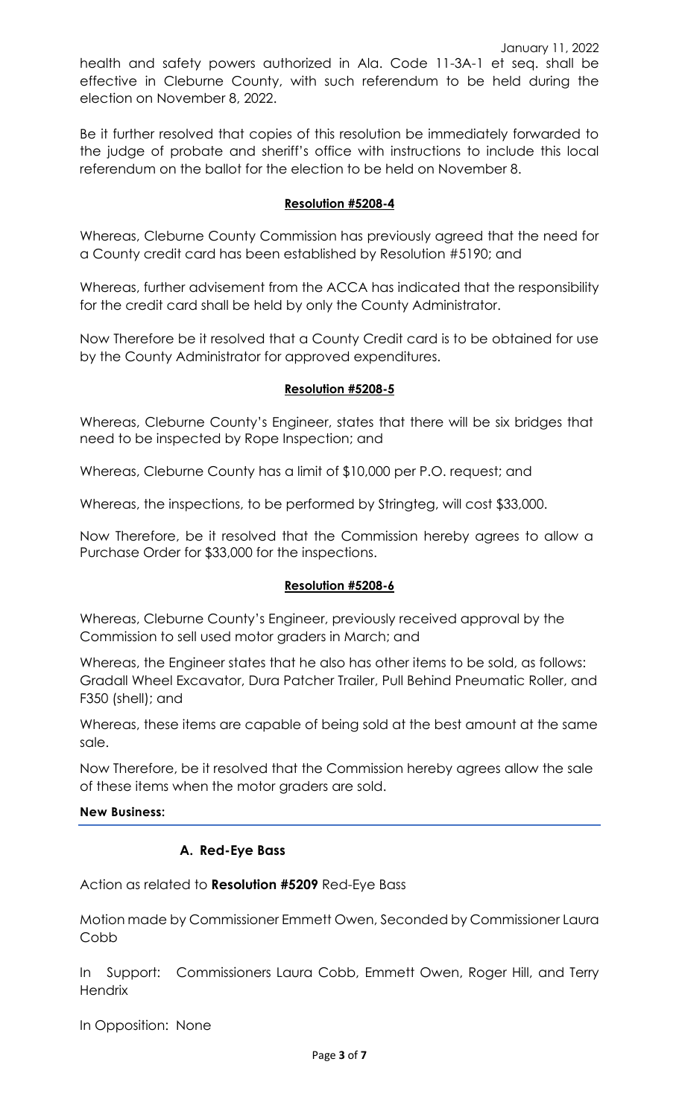health and safety powers authorized in Ala. Code 11-3A-1 et seq. shall be effective in Cleburne County, with such referendum to be held during the election on November 8, 2022.

Be it further resolved that copies of this resolution be immediately forwarded to the judge of probate and sheriff's office with instructions to include this local referendum on the ballot for the election to be held on November 8.

### **Resolution #5208-4**

Whereas, Cleburne County Commission has previously agreed that the need for a County credit card has been established by Resolution #5190; and

Whereas, further advisement from the ACCA has indicated that the responsibility for the credit card shall be held by only the County Administrator.

Now Therefore be it resolved that a County Credit card is to be obtained for use by the County Administrator for approved expenditures.

### **Resolution #5208-5**

Whereas, Cleburne County's Engineer, states that there will be six bridges that need to be inspected by Rope Inspection; and

Whereas, Cleburne County has a limit of \$10,000 per P.O. request; and

Whereas, the inspections, to be performed by Stringteg, will cost \$33,000.

Now Therefore, be it resolved that the Commission hereby agrees to allow a Purchase Order for \$33,000 for the inspections.

### **Resolution #5208-6**

Whereas, Cleburne County's Engineer, previously received approval by the Commission to sell used motor graders in March; and

Whereas, the Engineer states that he also has other items to be sold, as follows: Gradall Wheel Excavator, Dura Patcher Trailer, Pull Behind Pneumatic Roller, and F350 (shell); and

Whereas, these items are capable of being sold at the best amount at the same sale.

Now Therefore, be it resolved that the Commission hereby agrees allow the sale of these items when the motor graders are sold.

**New Business:**

### **A. Red-Eye Bass**

Action as related to **Resolution #5209** Red-Eye Bass

Motion made by Commissioner Emmett Owen, Seconded by Commissioner Laura Cobb

In Support: Commissioners Laura Cobb, Emmett Owen, Roger Hill, and Terry **Hendrix** 

In Opposition: None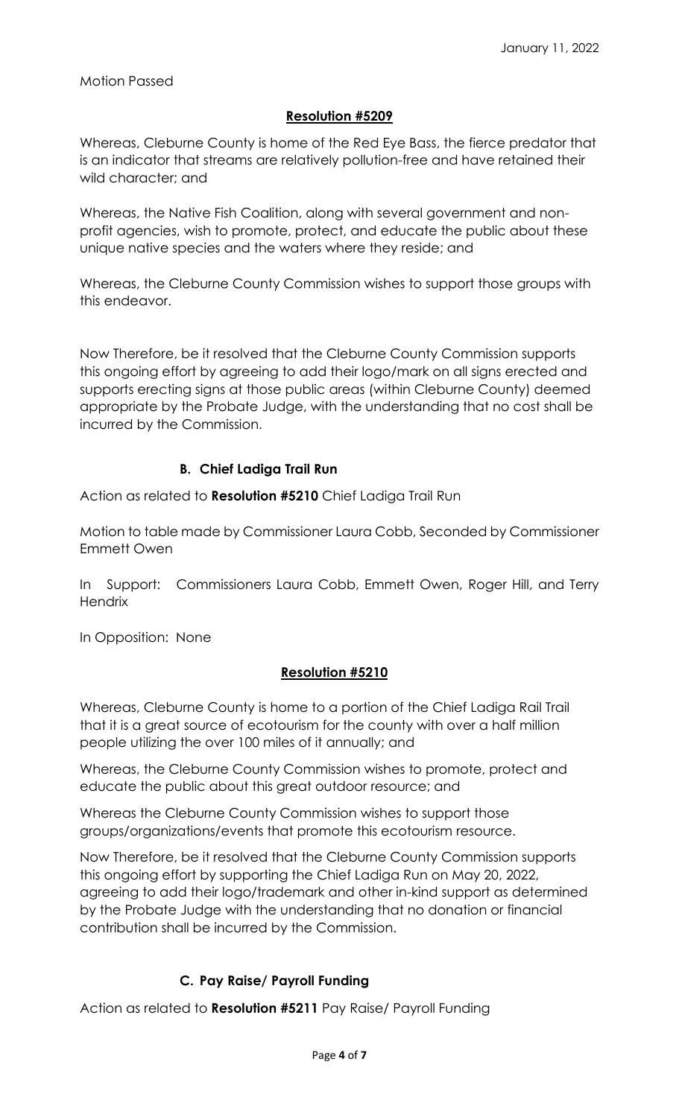### Motion Passed

### **Resolution #5209**

Whereas, Cleburne County is home of the Red Eye Bass, the fierce predator that is an indicator that streams are relatively pollution-free and have retained their wild character; and

Whereas, the Native Fish Coalition, along with several government and nonprofit agencies, wish to promote, protect, and educate the public about these unique native species and the waters where they reside; and

Whereas, the Cleburne County Commission wishes to support those groups with this endeavor.

Now Therefore, be it resolved that the Cleburne County Commission supports this ongoing effort by agreeing to add their logo/mark on all signs erected and supports erecting signs at those public areas (within Cleburne County) deemed appropriate by the Probate Judge, with the understanding that no cost shall be incurred by the Commission.

### **B. Chief Ladiga Trail Run**

Action as related to **Resolution #5210** Chief Ladiga Trail Run

Motion to table made by Commissioner Laura Cobb, Seconded by Commissioner Emmett Owen

In Support: Commissioners Laura Cobb, Emmett Owen, Roger Hill, and Terry **Hendrix** 

In Opposition: None

### **Resolution #5210**

Whereas, Cleburne County is home to a portion of the Chief Ladiga Rail Trail that it is a great source of ecotourism for the county with over a half million people utilizing the over 100 miles of it annually; and

Whereas, the Cleburne County Commission wishes to promote, protect and educate the public about this great outdoor resource; and

Whereas the Cleburne County Commission wishes to support those groups/organizations/events that promote this ecotourism resource.

Now Therefore, be it resolved that the Cleburne County Commission supports this ongoing effort by supporting the Chief Ladiga Run on May 20, 2022, agreeing to add their logo/trademark and other in-kind support as determined by the Probate Judge with the understanding that no donation or financial contribution shall be incurred by the Commission.

# **C. Pay Raise/ Payroll Funding**

Action as related to **Resolution #5211** Pay Raise/ Payroll Funding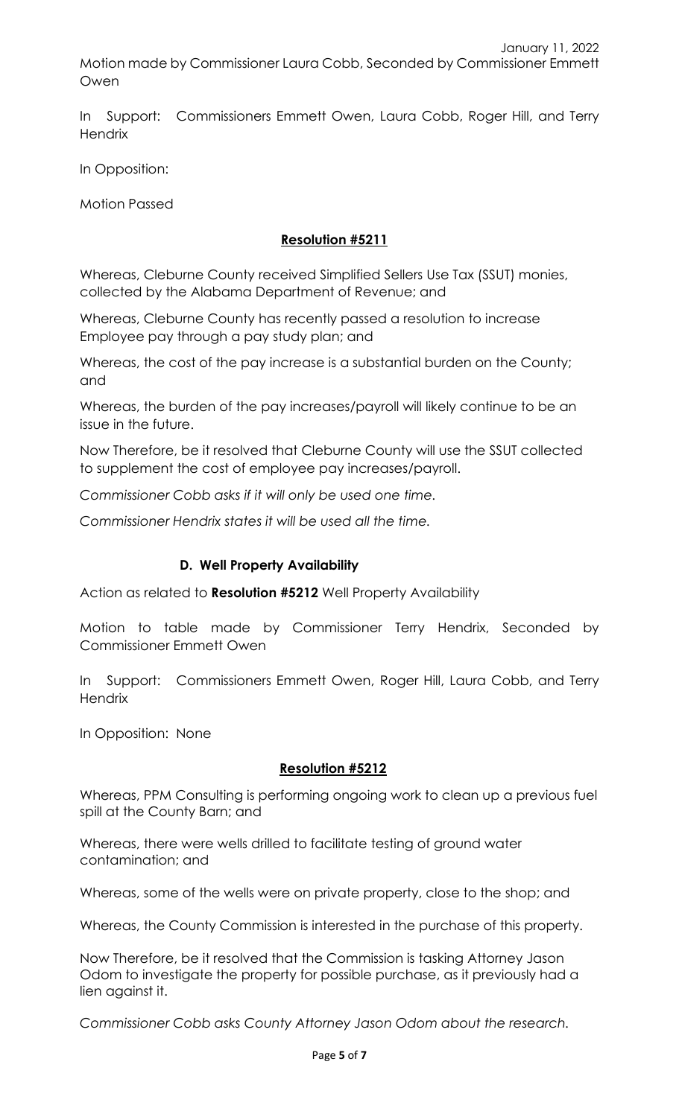In Support: Commissioners Emmett Owen, Laura Cobb, Roger Hill, and Terry **Hendrix** 

In Opposition:

Motion Passed

## **Resolution #5211**

Whereas, Cleburne County received Simplified Sellers Use Tax (SSUT) monies, collected by the Alabama Department of Revenue; and

Whereas, Cleburne County has recently passed a resolution to increase Employee pay through a pay study plan; and

Whereas, the cost of the pay increase is a substantial burden on the County; and

Whereas, the burden of the pay increases/payroll will likely continue to be an issue in the future.

Now Therefore, be it resolved that Cleburne County will use the SSUT collected to supplement the cost of employee pay increases/payroll.

*Commissioner Cobb asks if it will only be used one time.*

*Commissioner Hendrix states it will be used all the time.*

### **D. Well Property Availability**

Action as related to **Resolution #5212** Well Property Availability

Motion to table made by Commissioner Terry Hendrix, Seconded by Commissioner Emmett Owen

In Support: Commissioners Emmett Owen, Roger Hill, Laura Cobb, and Terry **Hendrix** 

In Opposition: None

### **Resolution #5212**

Whereas, PPM Consulting is performing ongoing work to clean up a previous fuel spill at the County Barn; and

Whereas, there were wells drilled to facilitate testing of ground water contamination; and

Whereas, some of the wells were on private property, close to the shop; and

Whereas, the County Commission is interested in the purchase of this property.

Now Therefore, be it resolved that the Commission is tasking Attorney Jason Odom to investigate the property for possible purchase, as it previously had a lien against it.

*Commissioner Cobb asks County Attorney Jason Odom about the research.*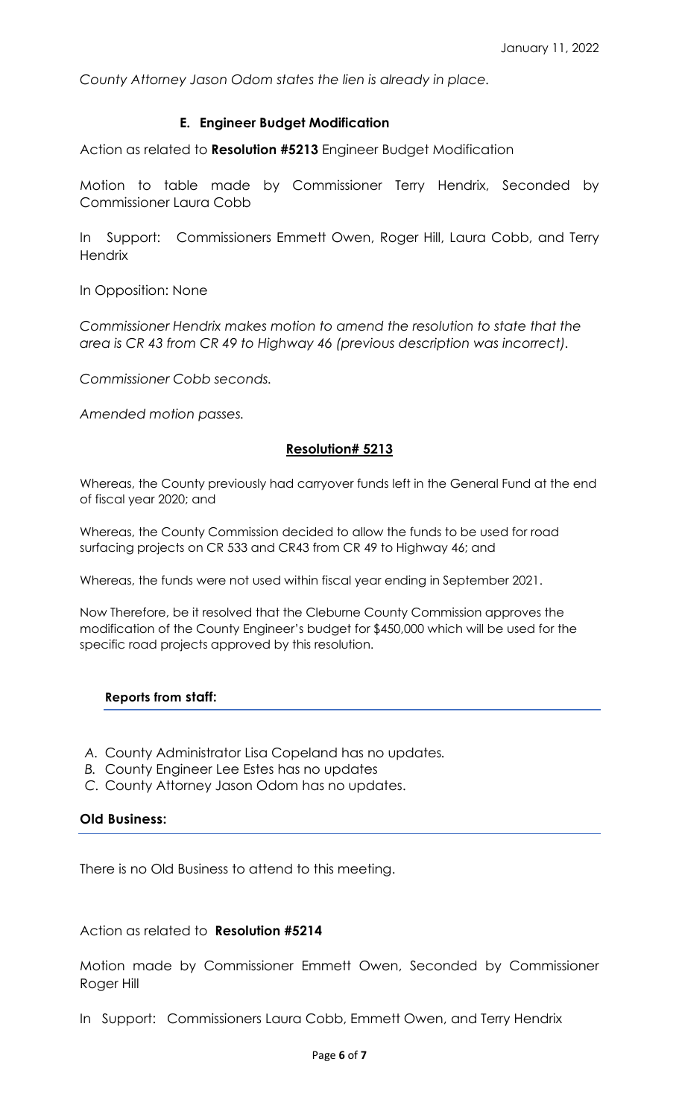*County Attorney Jason Odom states the lien is already in place.*

### **E. Engineer Budget Modification**

Action as related to **Resolution #5213** Engineer Budget Modification

Motion to table made by Commissioner Terry Hendrix, Seconded by Commissioner Laura Cobb

In Support: Commissioners Emmett Owen, Roger Hill, Laura Cobb, and Terry **Hendrix** 

In Opposition: None

*Commissioner Hendrix makes motion to amend the resolution to state that the area is CR 43 from CR 49 to Highway 46 (previous description was incorrect).*

*Commissioner Cobb seconds.*

*Amended motion passes.*

#### **Resolution# 5213**

Whereas, the County previously had carryover funds left in the General Fund at the end of fiscal year 2020; and

Whereas, the County Commission decided to allow the funds to be used for road surfacing projects on CR 533 and CR43 from CR 49 to Highway 46; and

Whereas, the funds were not used within fiscal year ending in September 2021.

Now Therefore, be it resolved that the Cleburne County Commission approves the modification of the County Engineer's budget for \$450,000 which will be used for the specific road projects approved by this resolution.

#### **Reports from staff:**

- *A.* County Administrator Lisa Copeland has no updates*.*
- *B.* County Engineer Lee Estes has no updates
- *C.* County Attorney Jason Odom has no updates.

#### **Old Business:**

There is no Old Business to attend to this meeting.

#### Action as related to **Resolution #5214**

Motion made by Commissioner Emmett Owen, Seconded by Commissioner Roger Hill

In Support: Commissioners Laura Cobb, Emmett Owen, and Terry Hendrix